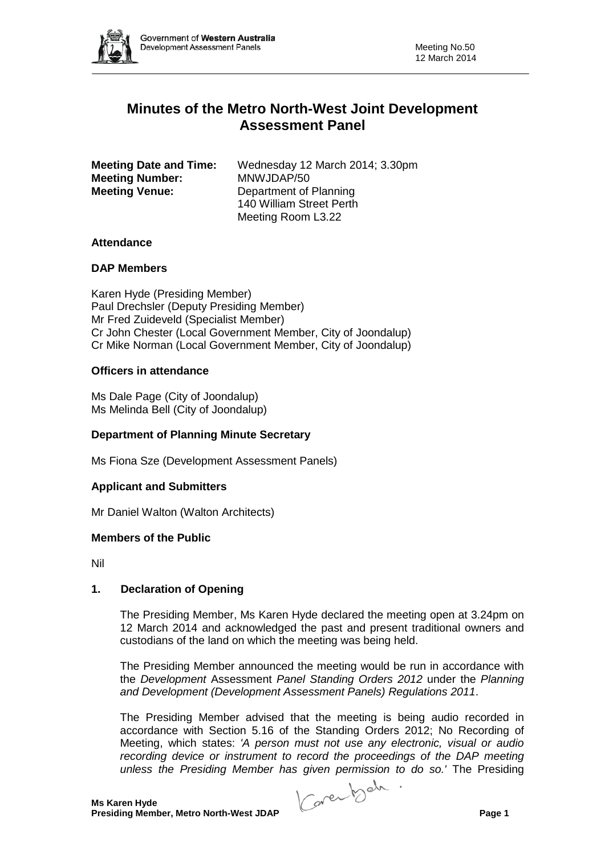

# **Minutes of the Metro North-West Joint Development Assessment Panel**

| <b>Meeting Date and Time:</b> | Wednesday 12 March 2014; 3.30pm |
|-------------------------------|---------------------------------|
| <b>Meeting Number:</b>        | MNWJDAP/50                      |
| <b>Meeting Venue:</b>         | Department of Planning          |
|                               | 140 William Street Perth        |
|                               | Meeting Room L3.22              |

# **Attendance**

## **DAP Members**

Karen Hyde (Presiding Member) Paul Drechsler (Deputy Presiding Member) Mr Fred Zuideveld (Specialist Member) Cr John Chester (Local Government Member, City of Joondalup) Cr Mike Norman (Local Government Member, City of Joondalup)

## **Officers in attendance**

Ms Dale Page (City of Joondalup) Ms Melinda Bell (City of Joondalup)

# **Department of Planning Minute Secretary**

Ms Fiona Sze (Development Assessment Panels)

### **Applicant and Submitters**

Mr Daniel Walton (Walton Architects)

### **Members of the Public**

Nil

# **1. Declaration of Opening**

The Presiding Member, Ms Karen Hyde declared the meeting open at 3.24pm on 12 March 2014 and acknowledged the past and present traditional owners and custodians of the land on which the meeting was being held.

The Presiding Member announced the meeting would be run in accordance with the *Development* Assessment *Panel Standing Orders 2012* under the *Planning and Development (Development Assessment Panels) Regulations 2011*.

The Presiding Member advised that the meeting is being audio recorded in accordance with Section 5.16 of the Standing Orders 2012; No Recording of Meeting, which states: *'A person must not use any electronic, visual or audio recording device or instrument to record the proceedings of the DAP meeting unless the Presiding Member has given permission to do so.'* The Presiding

**Presiding Member, Metro North-West JDAP Page 1**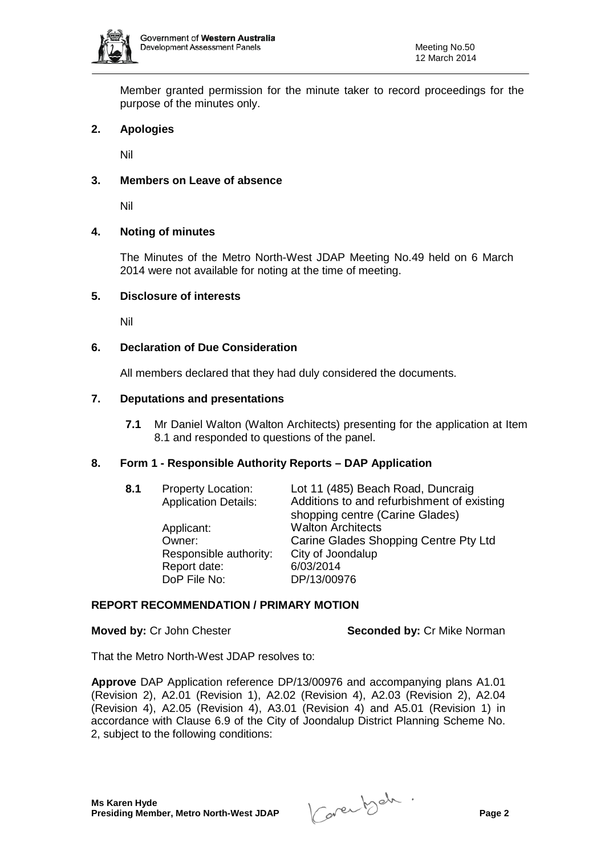

Member granted permission for the minute taker to record proceedings for the purpose of the minutes only.

# **2. Apologies**

Nil

# **3. Members on Leave of absence**

Nil

## **4. Noting of minutes**

The Minutes of the Metro North-West JDAP Meeting No.49 held on 6 March 2014 were not available for noting at the time of meeting.

## **5. Disclosure of interests**

Nil

## **6. Declaration of Due Consideration**

All members declared that they had duly considered the documents.

### **7. Deputations and presentations**

**7.1** Mr Daniel Walton (Walton Architects) presenting for the application at Item 8.1 and responded to questions of the panel.

### **8. Form 1 - Responsible Authority Reports – DAP Application**

| 8.1<br><b>Property Location:</b><br><b>Application Details:</b> | Lot 11 (485) Beach Road, Duncraig<br>Additions to and refurbishment of existing<br>shopping centre (Carine Glades) |                                       |
|-----------------------------------------------------------------|--------------------------------------------------------------------------------------------------------------------|---------------------------------------|
|                                                                 | Applicant:                                                                                                         | <b>Walton Architects</b>              |
|                                                                 | Owner:                                                                                                             | Carine Glades Shopping Centre Pty Ltd |
|                                                                 | Responsible authority:                                                                                             | City of Joondalup                     |
|                                                                 | Report date:                                                                                                       | 6/03/2014                             |
|                                                                 | DoP File No:                                                                                                       | DP/13/00976                           |
|                                                                 |                                                                                                                    |                                       |

# **REPORT RECOMMENDATION / PRIMARY MOTION**

**Moved by: Cr John Chester <b>Seconded by: Cr Mike Norman** 

That the Metro North-West JDAP resolves to:

**Approve** DAP Application reference DP/13/00976 and accompanying plans A1.01 (Revision 2), A2.01 (Revision 1), A2.02 (Revision 4), A2.03 (Revision 2), A2.04 (Revision 4), A2.05 (Revision 4), A3.01 (Revision 4) and A5.01 (Revision 1) in accordance with Clause 6.9 of the City of Joondalup District Planning Scheme No. 2, subject to the following conditions: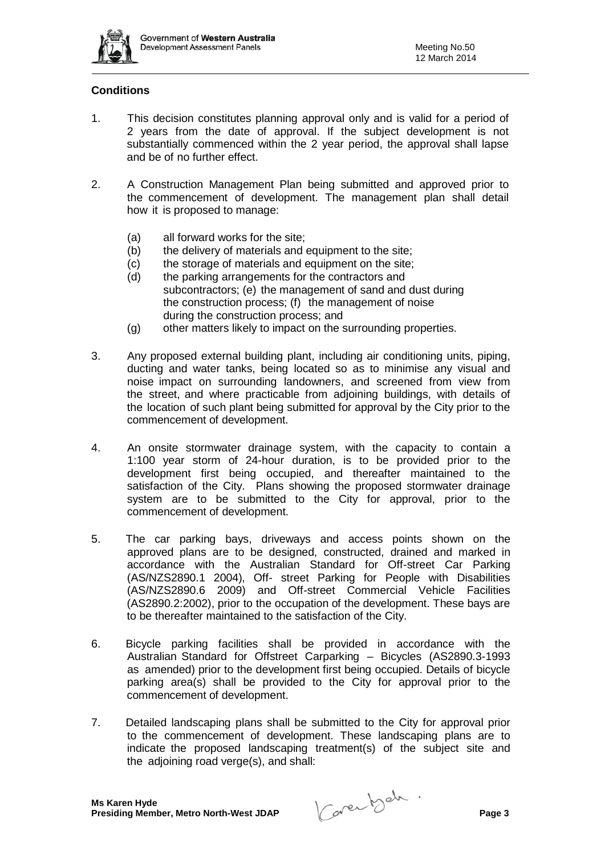

# **Conditions**

- 1. This decision constitutes planning approval only and is valid for a period of 2 years from the date of approval. If the subject development is not substantially commenced within the 2 year period, the approval shall lapse and be of no further effect.
- 2. A Construction Management Plan being submitted and approved prior to the commencement of development. The management plan shall detail how it is proposed to manage:
	- (a) all forward works for the site;
	- (b) the delivery of materials and equipment to the site;
	- (c) the storage of materials and equipment on the site;
	- (d) the parking arrangements for the contractors and subcontractors; (e) the management of sand and dust during
		- the construction process; (f) the management of noise during the construction process; and
	- (g) other matters likely to impact on the surrounding properties.
- 3. Any proposed external building plant, including air conditioning units, piping, ducting and water tanks, being located so as to minimise any visual and noise impact on surrounding landowners, and screened from view from the street, and where practicable from adjoining buildings, with details of the location of such plant being submitted for approval by the City prior to the commencement of development.
- 4. An onsite stormwater drainage system, with the capacity to contain a 1:100 year storm of 24-hour duration, is to be provided prior to the development first being occupied, and thereafter maintained to the satisfaction of the City. Plans showing the proposed stormwater drainage system are to be submitted to the City for approval, prior to the commencement of development.
- 5. The car parking bays, driveways and access points shown on the approved plans are to be designed, constructed, drained and marked in accordance with the Australian Standard for Off-street Car Parking (AS/NZS2890.1 2004), Off- street Parking for People with Disabilities (AS/NZS2890.6 2009) and Off-street Commercial Vehicle Facilities (AS2890.2:2002), prior to the occupation of the development. These bays are to be thereafter maintained to the satisfaction of the City.
- 6. Bicycle parking facilities shall be provided in accordance with the Australian Standard for Offstreet Carparking – Bicycles (AS2890.3-1993 as amended) prior to the development first being occupied. Details of bicycle parking area(s) shall be provided to the City for approval prior to the commencement of development.
- 7. Detailed landscaping plans shall be submitted to the City for approval prior to the commencement of development. These landscaping plans are to indicate the proposed landscaping treatment(s) of the subject site and the adjoining road verge(s), and shall: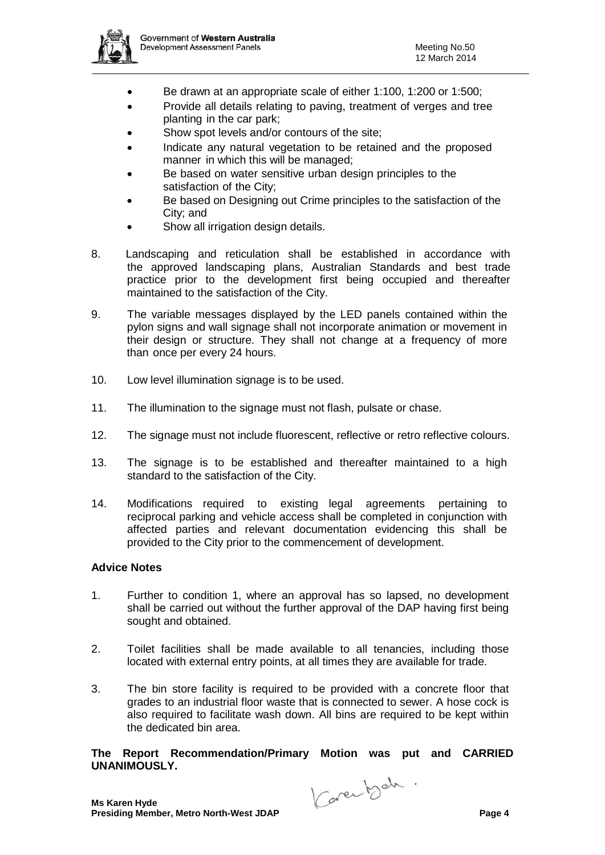

- Be drawn at an appropriate scale of either 1:100, 1:200 or 1:500;
- Provide all details relating to paving, treatment of verges and tree planting in the car park;
- Show spot levels and/or contours of the site:
- Indicate any natural vegetation to be retained and the proposed manner in which this will be managed;
- Be based on water sensitive urban design principles to the satisfaction of the City;
- Be based on Designing out Crime principles to the satisfaction of the City; and
- Show all irrigation design details.
- 8. Landscaping and reticulation shall be established in accordance with the approved landscaping plans, Australian Standards and best trade practice prior to the development first being occupied and thereafter maintained to the satisfaction of the City.
- 9. The variable messages displayed by the LED panels contained within the pylon signs and wall signage shall not incorporate animation or movement in their design or structure. They shall not change at a frequency of more than once per every 24 hours.
- 10. Low level illumination signage is to be used.
- 11. The illumination to the signage must not flash, pulsate or chase.
- 12. The signage must not include fluorescent, reflective or retro reflective colours.
- 13. The signage is to be established and thereafter maintained to a high standard to the satisfaction of the City.
- 14. Modifications required to existing legal agreements pertaining to reciprocal parking and vehicle access shall be completed in conjunction with affected parties and relevant documentation evidencing this shall be provided to the City prior to the commencement of development.

### **Advice Notes**

- 1. Further to condition 1, where an approval has so lapsed, no development shall be carried out without the further approval of the DAP having first being sought and obtained.
- 2. Toilet facilities shall be made available to all tenancies, including those located with external entry points, at all times they are available for trade.
- 3. The bin store facility is required to be provided with a concrete floor that grades to an industrial floor waste that is connected to sewer. A hose cock is also required to facilitate wash down. All bins are required to be kept within the dedicated bin area.

**The Report Recommendation/Primary Motion was put and CARRIED UNANIMOUSLY.**

**Presiding Member, Metro North-West JDAP Page 4**